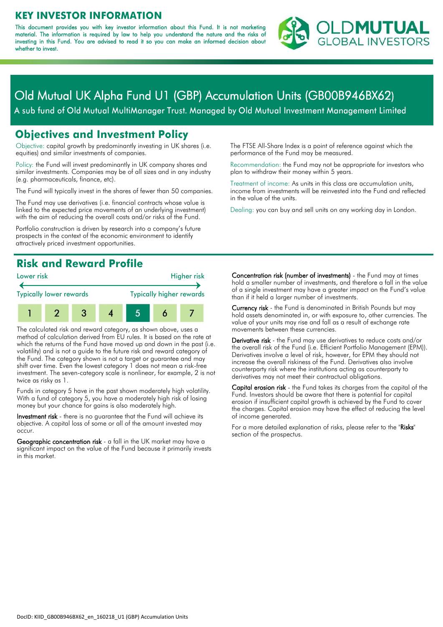#### **KEY INVESTOR INFORMATION**

This document provides you with key investor information about this Fund. It is not marketing material. The information is required by law to help you understand the nature and the risks of investing in this Fund. You are advised to read it so you can make an informed decision about whether to invest.



# Old Mutual UK Alpha Fund U1 (GBP) Accumulation Units (GB00B946BX62)

A sub fund of Old Mutual MultiManager Trust. Managed by Old Mutual Investment Management Limited

#### **Objectives and Investment Policy**

Objective: capital growth by predominantly investing in UK shares (i.e. equities) and similar investments of companies.

Policy: the Fund will invest predominantly in UK company shares and similar investments. Companies may be of all sizes and in any industry (e.g. pharmaceuticals, finance, etc).

The Fund will typically invest in the shares of fewer than 50 companies.

The Fund may use derivatives (i.e. financial contracts whose value is linked to the expected price movements of an underlying investment) with the aim of reducing the overall costs and/or risks of the Fund.

Portfolio construction is driven by research into a company's future prospects in the context of the economic environment to identify attractively priced investment opportunities.

### **Risk and Reward Profile**



The calculated risk and reward category, as shown above, uses a method of calculation derived from EU rules. It is based on the rate at which the returns of the Fund have moved up and down in the past (i.e. volatility) and is not a guide to the future risk and reward category of the Fund. The category shown is not a target or guarantee and may shift over time. Even the lowest category 1 does not mean a risk-free investment. The seven-category scale is nonlinear, for example, 2 is not twice as risky as 1.

Funds in category 5 have in the past shown moderately high volatility. With a fund of category 5, you have a moderately high risk of losing money but your chance for gains is also moderately high.

Investment risk - there is no guarantee that the Fund will achieve its objective. A capital loss of some or all of the amount invested may occur.

Geographic concentration risk - a fall in the UK market may have a significant impact on the value of the Fund because it primarily invests in this market.

The FTSE All-Share Index is a point of reference against which the performance of the Fund may be measured.

Recommendation: the Fund may not be appropriate for investors who plan to withdraw their money within 5 years.

Treatment of income: As units in this class are accumulation units, income from investments will be reinvested into the Fund and reflected in the value of the units.

Dealing: you can buy and sell units on any working day in London.

Concentration risk (number of investments) - the Fund may at times hold a smaller number of investments, and therefore a fall in the value of a single investment may have a greater impact on the Fund's value than if it held a larger number of investments.

Currency risk - the Fund is denominated in British Pounds but may hold assets denominated in, or with exposure to, other currencies. The value of your units may rise and fall as a result of exchange rate movements between these currencies.

Derivative risk - the Fund may use derivatives to reduce costs and/or the overall risk of the Fund (i.e. Efficient Portfolio Management (EPM)). Derivatives involve a level of risk, however, for EPM they should not increase the overall riskiness of the Fund. Derivatives also involve counterparty risk where the institutions acting as counterparty to derivatives may not meet their contractual obligations.

Capital erosion risk - the Fund takes its charges from the capital of the Fund. Investors should be aware that there is potential for capital erosion if insufficient capital growth is achieved by the Fund to cover the charges. Capital erosion may have the effect of reducing the level of income generated.

For a more detailed explanation of risks, please refer to the "Risks" section of the prospectus.